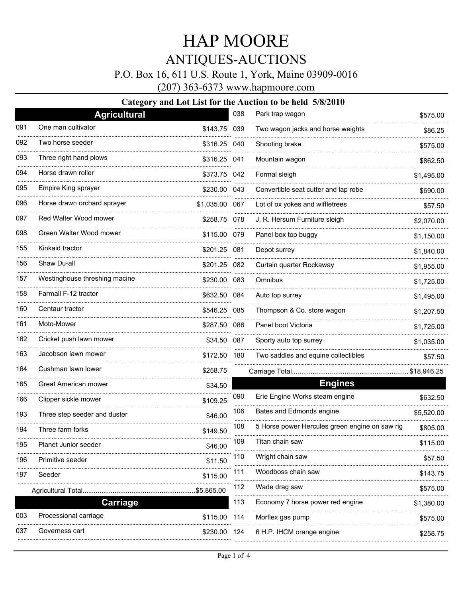### P.O. Box 16, 611 U.S. Route 1, York, Maine 03909-0016

(207) 363-6373 www.hapmoore.com

|     | <b>Agricultural</b>           |                | 038 | Park trap wagon                                | \$575.00    |
|-----|-------------------------------|----------------|-----|------------------------------------------------|-------------|
| 091 | One man cultivator            | \$143.75 039   |     | Two wagon jacks and horse weights              | \$86.25     |
| 092 | Two horse seeder              | \$316.25       | 040 | Shooting brake                                 | \$575.00    |
| 093 | Three right hand plows        | \$316.25 041   |     | Mountain wagon                                 | \$862.50    |
| 094 | Horse drawn roller            | \$373.75 042   |     | Formal sleigh                                  | \$1,495.00  |
| 095 | Empire King sprayer           | \$230.00 043   |     | Convertible seat cutter and lap robe           | \$690.00    |
| 096 | Horse drawn orchard sprayer   | \$1,035.00 067 |     | Lot of ox yokes and wiffletrees                | \$57.50     |
| 097 | Red Walter Wood mower         | \$258.75 078   |     | J. R. Hersum Furniture sleigh                  | \$2,070.00  |
| 098 | Green Walter Wood mower       | \$115.00 079   |     | Panel box top buggy                            | \$1,150.00  |
| 155 | Kinkaid tractor               | \$201.25 081   |     | Depot surrey                                   | \$1,840.00  |
| 156 | Shaw Du-all                   | \$201.25 082   |     | Curtain quarter Rockaway                       | \$1,955.00  |
| 157 | Westinghouse threshing macine | \$230.00 083   |     | Omnibus                                        | \$1,725.00  |
| 158 | Farmall F-12 tractor          | \$632.50 084   |     | Auto top surrey                                | \$1,495.00  |
| 160 | Centaur tractor               | \$546.25 085   |     | Thompson & Co. store wagon                     | \$1,207.50  |
| 161 | Moto-Mower                    | \$287.50       | 086 | Panel boot Victoria                            | \$1,725.00  |
| 162 | Cricket push lawn mower       | \$34.50        | 087 | Sporty auto top surrey                         | \$1,035.00  |
| 163 | Jacobson lawn mower           | \$172.50 180   |     | Two saddles and equine collectibles            | \$57.50     |
| 164 | Cushman lawn lower            | \$258.75       |     |                                                | \$18,946.25 |
| 165 | Great American mower          | \$34.50        |     | <b>Engines</b>                                 |             |
| 166 | Clipper sickle mower          | \$109.25       | 090 | Erie Engine Works steam engine                 | \$632.50    |
| 193 | Three step seeder and duster  | \$46.00        | 106 | Bates and Edmonds engine                       | \$5,520.00  |
| 194 | Three farm forks              | \$149.50       | 108 | 5 Horse power Hercules green engine on saw rig | \$805.00    |
| 195 | Planet Junior seeder          | \$46.00        | 109 | Titan chain saw                                | \$115.00    |
| 196 | Primitive seeder              | \$11.50        | 110 | Wright chain saw                               | \$57.50     |
| 197 | Seeder                        | \$115.00       | 111 | Woodboss chain saw                             | \$143.75    |
|     |                               | \$5,865.00     | 112 | Wade drag saw                                  | \$575.00    |
|     | <b>Carriage</b>               |                | 113 | Economy 7 horse power red engine               | \$1,380.00  |
| 003 | Processional carriage         | \$115.00       | 114 | Morflex gas pump                               | \$575.00    |
| 037 | Governess cart                | \$230.00       | 124 | 6 H.P. IHCM orange engine                      | \$258.75    |
|     |                               |                |     |                                                |             |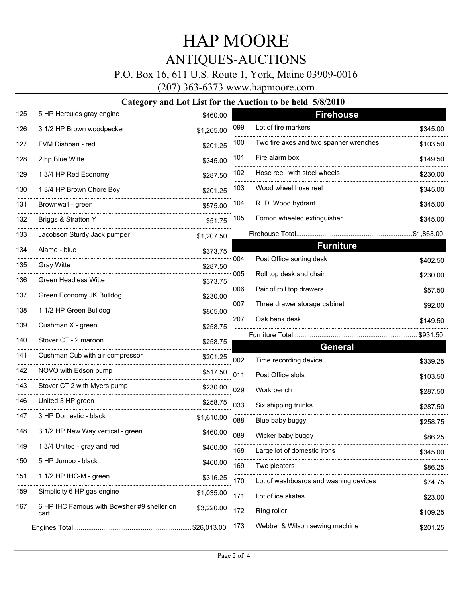P.O. Box 16, 611 U.S. Route 1, York, Maine 03909-0016

(207) 363-6373 www.hapmoore.com

| 125 | 5 HP Hercules gray engine                          | \$460.00     |     | <b>Firehouse</b>                       |             |
|-----|----------------------------------------------------|--------------|-----|----------------------------------------|-------------|
| 126 | 3 1/2 HP Brown woodpecker                          | \$1,265.00   | 099 | Lot of fire markers                    | \$345.00    |
| 127 | FVM Dishpan - red                                  | \$201.25     | 100 | Two fire axes and two spanner wrenches | \$103.50    |
| 128 | 2 hp Blue Witte                                    | \$345.00     | 101 | Fire alarm box                         | \$149.50    |
| 129 | 1 3/4 HP Red Economy                               | \$287.50     | 102 | Hose reel with steel wheels            | \$230.00    |
| 130 | 1 3/4 HP Brown Chore Boy                           | \$201.25     | 103 | Wood wheel hose reel                   | \$345.00    |
| 131 | Brownwall - green                                  | \$575.00     | 104 | R. D. Wood hydrant                     | \$345.00    |
| 132 | Briggs & Stratton Y                                | \$51.75      | 105 | Fomon wheeled extinguisher             | \$345.00    |
| 133 | Jacobson Sturdy Jack pumper                        | \$1,207.50   |     | Firehouse Total                        | .\$1,863.00 |
| 134 | Alamo - blue                                       | \$373.75     |     | <b>Furniture</b>                       |             |
| 135 | <b>Gray Witte</b>                                  | \$287.50     | 004 | Post Office sorting desk               | \$402.50    |
| 136 | <b>Green Headless Witte</b>                        | \$373.75     | 005 | Roll top desk and chair                | \$230.00    |
| 137 | Green Economy JK Bulldog                           | \$230.00     | 006 | Pair of roll top drawers               | \$57.50     |
|     |                                                    |              | 007 | Three drawer storage cabinet           | \$92.00     |
| 138 | 1 1/2 HP Green Bulldog                             | \$805.00<br> | 207 | Oak bank desk                          | \$149.50    |
| 139 | Cushman X - green                                  | \$258.75     |     |                                        |             |
| 140 | Stover CT - 2 maroon                               | \$258.75     |     | <b>General</b>                         | \$931.50    |
| 141 | Cushman Cub with air compressor                    | \$201.25     | 002 | Time recording device                  | \$339.25    |
| 142 | NOVO with Edson pump                               | \$517.50     | 011 | Post Office slots                      | \$103.50    |
| 143 | Stover CT 2 with Myers pump                        | \$230.00     | 029 | Work bench                             | \$287.50    |
| 146 | United 3 HP green                                  | \$258.75     | 033 | Six shipping trunks                    | \$287.50    |
| 147 | 3 HP Domestic - black                              | \$1,610.00   | 088 | Blue baby buggy                        | \$258.75    |
| 148 | 3 1/2 HP New Way vertical - green                  | \$460.00     | 089 | Wicker baby buggy                      | \$86.25     |
| 149 | 1 3/4 United - gray and red                        | \$460.00     | 168 | Large lot of domestic irons            | \$345.00    |
| 150 | 5 HP Jumbo - black                                 | \$460.00     | 169 | Two pleaters                           | \$86.25     |
| 151 | 1 1/2 HP IHC-M - green                             | \$316.25     | 170 | Lot of washboards and washing devices  | \$74.75     |
| 159 | Simplicity 6 HP gas engine                         | \$1,035.00   | 171 | Lot of ice skates                      | \$23.00     |
| 167 | 6 HP IHC Famous with Bowsher #9 sheller on<br>cart | \$3,220.00   | 172 | Ring roller                            | \$109.25    |
|     |                                                    |              | 173 | Webber & Wilson sewing machine         |             |
|     |                                                    | \$26,013.00  |     |                                        | \$201.25    |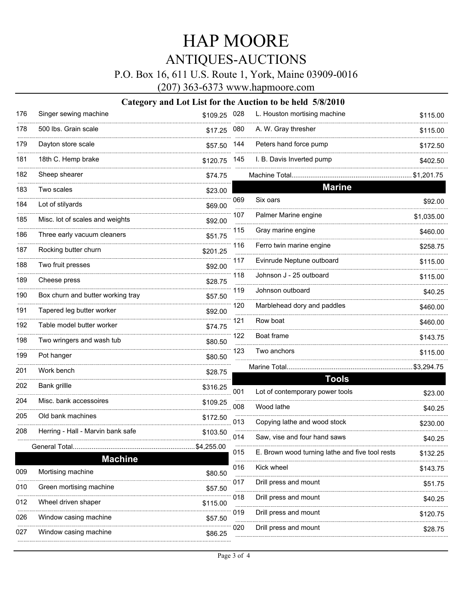## P.O. Box 16, 611 U.S. Route 1, York, Maine 03909-0016

(207) 363-6373 www.hapmoore.com

| 176 | Singer sewing machine             | \$109.25 028 |     | L. Houston mortising machine                    | \$115.00   |
|-----|-----------------------------------|--------------|-----|-------------------------------------------------|------------|
| 178 | 500 lbs. Grain scale              | \$17.25      | 080 | A. W. Gray thresher                             | \$115.00   |
| 179 | Dayton store scale                | \$57.50      | 144 | Peters hand force pump                          | \$172.50   |
| 181 | 18th C. Hemp brake                | \$120.75     | 145 | I. B. Davis Inverted pump                       | \$402.50   |
| 182 | Sheep shearer                     | \$74.75      |     | Machine Total                                   | \$1,201.75 |
| 183 | Two scales                        | \$23.00      |     | <b>Marine</b>                                   |            |
| 184 | Lot of stilyards                  | \$69.00      | 069 | Six oars                                        | \$92.00    |
| 185 | Misc. lot of scales and weights   | \$92.00      | 107 | Palmer Marine engine                            | \$1,035.00 |
| 186 | Three early vacuum cleaners       | \$51.75      | 115 | Gray marine engine                              | \$460.00   |
| 187 | Rocking butter churn              | \$201.25     | 116 | Ferro twin marine engine                        | \$258.75   |
| 188 | Two fruit presses                 | \$92.00      | 117 | Evinrude Neptune outboard                       | \$115.00   |
| 189 | Cheese press                      | \$28.75      | 118 | Johnson J - 25 outboard                         | \$115.00   |
| 190 | Box churn and butter working tray | \$57.50      | 119 | Johnson outboard                                | \$40.25    |
| 191 | Tapered leg butter worker         | \$92.00      | 120 | Marblehead dory and paddles                     | \$460.00   |
| 192 | Table model butter worker         | \$74.75      | 121 | Row boat                                        | \$460.00   |
| 198 | Two wringers and wash tub         | \$80.50      | 122 | Boat frame                                      | \$143.75   |
| 199 | Pot hanger                        | \$80.50      | 123 | Two anchors                                     | \$115.00   |
| 201 | Work bench                        | \$28.75      |     | Marine Total                                    | \$3,294.75 |
| 202 | Bank grillle                      | \$316.25     |     | <b>Tools</b>                                    |            |
| 204 | Misc. bank accessoires            | \$109.25     | 001 | Lot of contemporary power tools                 | \$23.00    |
| 205 | Old bank machines                 | \$172.50     | 008 | Wood lathe                                      | \$40.25    |
| 208 | Herring - Hall - Marvin bank safe | \$103.50     | 013 | Copying lathe and wood stock                    | \$230.00   |
|     |                                   |              | 014 | Saw, vise and four hand saws                    | \$40.25    |
|     | General Total<br><b>Machine</b>   | \$4,255.00   | 015 | E. Brown wood turning lathe and five tool rests | \$132.25   |
| 009 | Mortising machine                 | \$80.50      | 016 | Kick wheel                                      | \$143.75   |
| 010 | Green mortising machine           | \$57.50      | 017 | Drill press and mount                           | \$51.75    |
| 012 | Wheel driven shaper               | \$115.00     | 018 | Drill press and mount                           | \$40.25    |
| 026 | Window casing machine             | \$57.50      | 019 | Drill press and mount                           | \$120.75   |
| 027 | Window casing machine             | \$86.25      | 020 | Drill press and mount                           | \$28.75    |
|     |                                   |              |     |                                                 |            |